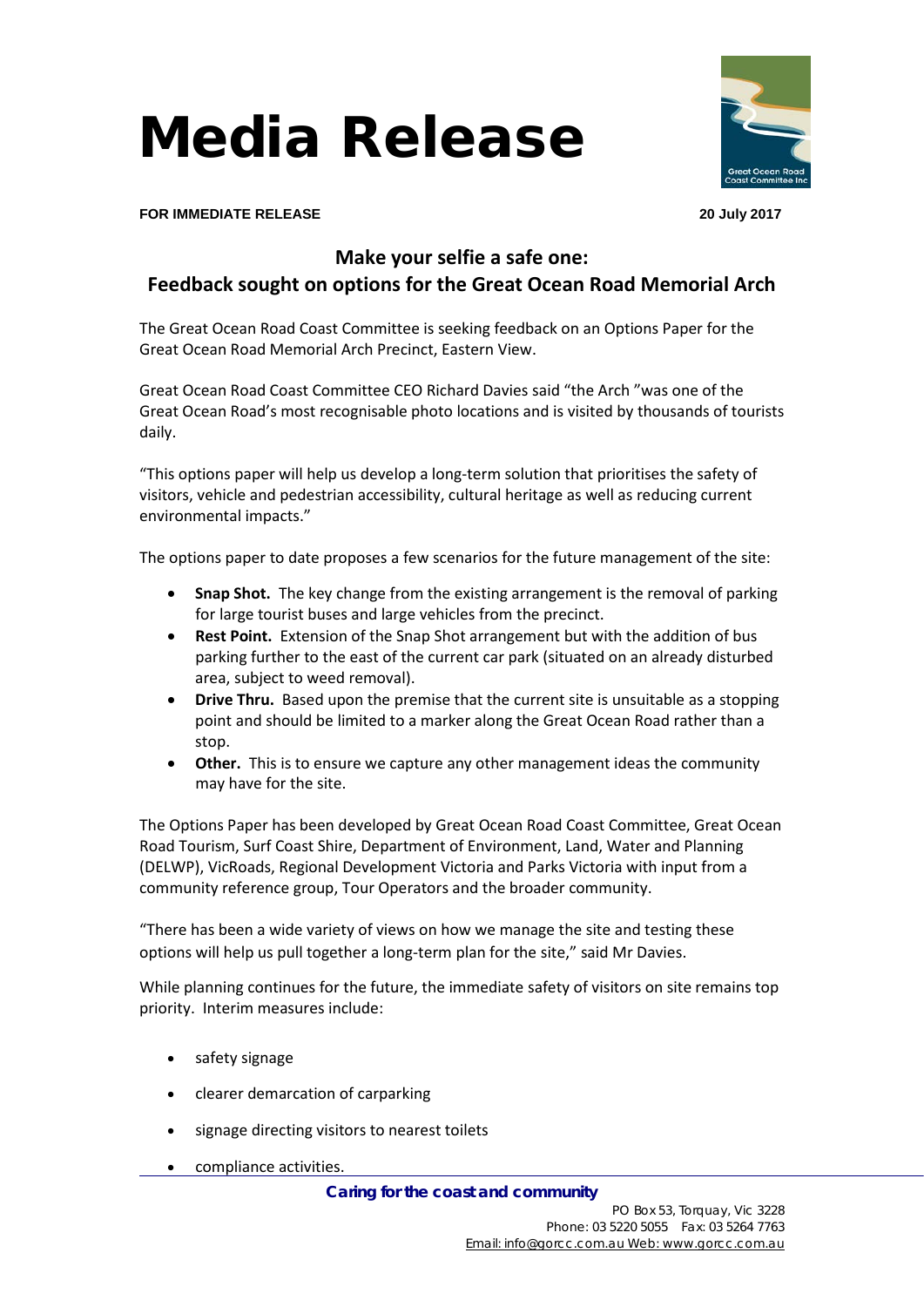Media Release



**FOR IMMEDIATE RELEASE 20 July 2017**

## **Make your selfie a safe one:**

## **Feedback sought on options for the Great Ocean Road Memorial Arch**

The Great Ocean Road Coast Committee is seeking feedback on an Options Paper for the Great Ocean Road Memorial Arch Precinct, Eastern View.

Great Ocean Road Coast Committee CEO Richard Davies said "the Arch "was one of the Great Ocean Road's most recognisable photo locations and is visited by thousands of tourists daily.

"This options paper will help us develop a long-term solution that prioritises the safety of visitors, vehicle and pedestrian accessibility, cultural heritage as well as reducing current environmental impacts."

The options paper to date proposes a few scenarios for the future management of the site:

- Snap Shot. The key change from the existing arrangement is the removal of parking for large tourist buses and large vehicles from the precinct.
- **Rest Point.** Extension of the Snap Shot arrangement but with the addition of bus parking further to the east of the current car park (situated on an already disturbed area, subject to weed removal).
- **Drive Thru.** Based upon the premise that the current site is unsuitable as a stopping point and should be limited to a marker along the Great Ocean Road rather than a stop.
- **Other.** This is to ensure we capture any other management ideas the community may have for the site.

The Options Paper has been developed by Great Ocean Road Coast Committee, Great Ocean Road Tourism, Surf Coast Shire, Department of Environment, Land, Water and Planning (DELWP), VicRoads, Regional Development Victoria and Parks Victoria with input from a community reference group, Tour Operators and the broader community.

"There has been a wide variety of views on how we manage the site and testing these options will help us pull together a long-term plan for the site," said Mr Davies.

While planning continues for the future, the immediate safety of visitors on site remains top priority. Interim measures include:

- safety signage
- clearer demarcation of carparking
- signage directing visitors to nearest toilets
- compliance activities.